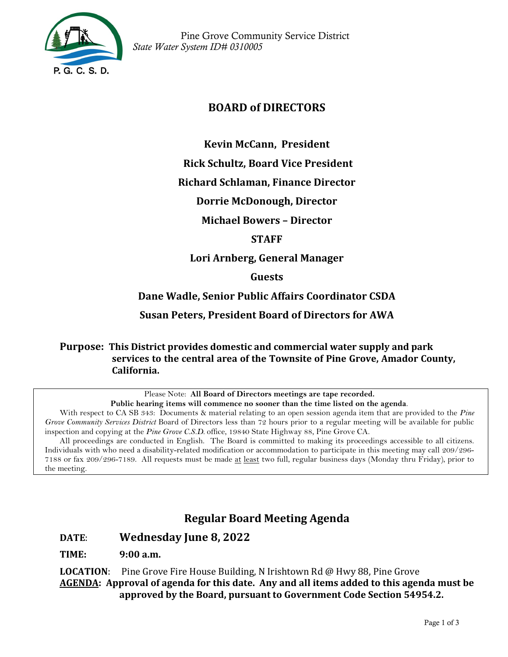

 Pine Grove Community Service District *State Water System ID# 0310005*

# **BOARD of DIRECTORS**

**Kevin McCann, President** 

**Rick Schultz, Board Vice President**

**Richard Schlaman, Finance Director**

**Dorrie McDonough, Director**

**Michael Bowers – Director**

#### **STAFF**

**Lori Arnberg, General Manager**

**Guests**

**Dane Wadle, Senior Public Affairs Coordinator CSDA**

**Susan Peters, President Board of Directors for AWA**

**Purpose: This District provides domestic and commercial water supply and park services to the central area of the Townsite of Pine Grove, Amador County, California.**

Please Note: **All Board of Directors meetings are tape recorded.**

**Public hearing items will commence no sooner than the time listed on the agenda**.

With respect to CA SB 343: Documents & material relating to an open session agenda item that are provided to the *Pine Grove Community Services District* Board of Directors less than 72 hours prior to a regular meeting will be available for public inspection and copying at the *Pine Grove C.S.D.* office, 19840 State Highway 88, Pine Grove CA.

All proceedings are conducted in English. The Board is committed to making its proceedings accessible to all citizens. Individuals with who need a disability-related modification or accommodation to participate in this meeting may call 209/296- 7188 or fax 209/296-7189. All requests must be made at least two full, regular business days (Monday thru Friday), prior to the meeting.

# **Regular Board Meeting Agenda**

#### **DATE**: **Wednesday June 8, 2022**

**TIME: 9:00 a.m.**

**LOCATION**: Pine Grove Fire House Building, N Irishtown Rd @ Hwy 88, Pine Grove **AGENDA: Approval of agenda for this date. Any and all items added to this agenda must be approved by the Board, pursuant to Government Code Section 54954.2.**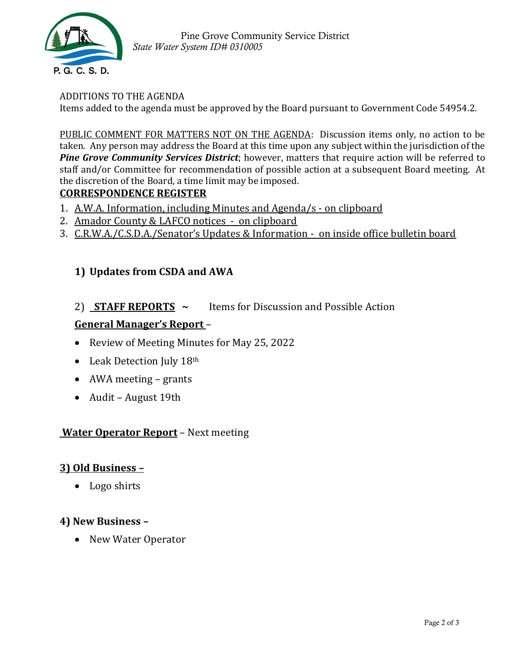

 Pine Grove Community Service District *State Water System ID# 0310005*

#### ADDITIONS TO THE AGENDA

Items added to the agenda must be approved by the Board pursuant to Government Code 54954.2.

PUBLIC COMMENT FOR MATTERS NOT ON THE AGENDA: Discussion items only, no action to be taken. Any person may address the Board at this time upon any subject within the jurisdiction of the *Pine Grove Community Services District*; however, matters that require action will be referred to staff and/or Committee for recommendation of possible action at a subsequent Board meeting. At the discretion of the Board, a time limit may be imposed.

## **CORRESPONDENCE REGISTER**

- 1. A.W.A. Information, including Minutes and Agenda/s on clipboard
- 2. Amador County & LAFCO notices on clipboard
- 3. C.R.W.A./C.S.D.A./Senator's Updates & Information on inside office bulletin board

# **1) Updates from CSDA and AWA**

## 2) **STAFF REPORTS ~** Items for Discussion and Possible Action

## **General Manager's Report** –

- Review of Meeting Minutes for May 25, 2022
- Leak Detection July 18th
- AWA meeting grants
- Audit August 19th

#### **Water Operator Report** – Next meeting

#### **3) Old Business –**

• Logo shirts

#### **4) New Business –**

• New Water Operator